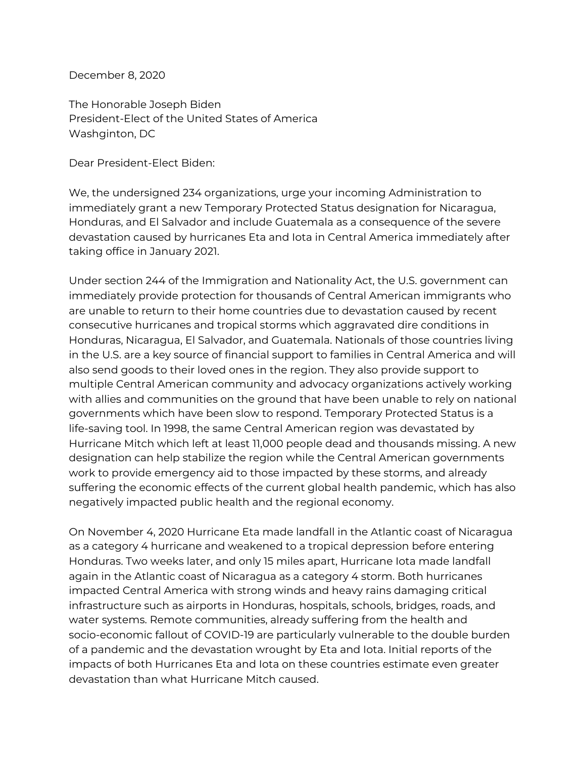December 8, 2020

The Honorable Joseph Biden President-Elect of the United States of America Washginton, DC

Dear President-Elect Biden:

We, the undersigned 234 organizations, urge your incoming Administration to immediately grant a new Temporary Protected Status designation for Nicaragua, Honduras, and El Salvador and include Guatemala as a consequence of the severe devastation caused by hurricanes Eta and Iota in Central America immediately after taking office in January 2021.

Under section 244 of the Immigration and Nationality Act, the U.S. government can immediately provide protection for thousands of Central American immigrants who are unable to return to their home countries due to devastation caused by recent consecutive hurricanes and tropical storms which aggravated dire conditions in Honduras, Nicaragua, El Salvador, and Guatemala. Nationals of those countries living in the U.S. are a key source of financial support to families in Central America and will also send goods to their loved ones in the region. They also provide support to multiple Central American community and advocacy organizations actively working with allies and communities on the ground that have been unable to rely on national governments which have been slow to respond. Temporary Protected Status is a life-saving tool. In 1998, the same Central American region was devastated by Hurricane Mitch which left at least 11,000 people dead and thousands missing. A new designation can help stabilize the region while the Central American governments work to provide emergency aid to those impacted by these storms, and already suffering the economic effects of the current global health pandemic, which has also negatively impacted public health and the regional economy.

On November 4, 2020 Hurricane Eta made landfall in the Atlantic coast of Nicaragua as a category 4 hurricane and weakened to a tropical depression before entering Honduras. Two weeks later, and only 15 miles apart, Hurricane Iota made landfall again in the Atlantic coast of Nicaragua as a category 4 storm. Both hurricanes impacted Central America with strong winds and heavy rains damaging critical infrastructure such as airports in Honduras, hospitals, schools, bridges, roads, and water systems. Remote communities, already suffering from the health and socio-economic fallout of COVID-19 are particularly vulnerable to the double burden of a pandemic and the devastation wrought by Eta and Iota. Initial reports of the impacts of both Hurricanes Eta and Iota on these countries estimate even greater devastation than what Hurricane Mitch caused.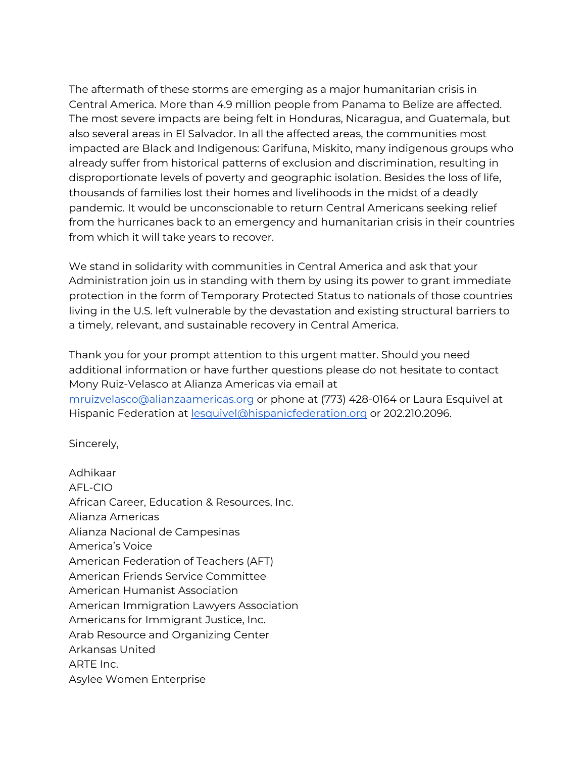The aftermath of these storms are emerging as a major humanitarian crisis in Central America. More than 4.9 million people from Panama to Belize are affected. The most severe impacts are being felt in Honduras, Nicaragua, and Guatemala, but also several areas in El Salvador. In all the affected areas, the communities most impacted are Black and Indigenous: Garifuna, Miskito, many indigenous groups who already suffer from historical patterns of exclusion and discrimination, resulting in disproportionate levels of poverty and geographic isolation. Besides the loss of life, thousands of families lost their homes and livelihoods in the midst of a deadly pandemic. It would be unconscionable to return Central Americans seeking relief from the hurricanes back to an emergency and humanitarian crisis in their countries from which it will take years to recover.

We stand in solidarity with communities in Central America and ask that your Administration join us in standing with them by using its power to grant immediate protection in the form of Temporary Protected Status to nationals of those countries living in the U.S. left vulnerable by the devastation and existing structural barriers to a timely, relevant, and sustainable recovery in Central America.

Thank you for your prompt attention to this urgent matter. Should you need additional information or have further questions please do not hesitate to contact Mony Ruiz-Velasco at Alianza Americas via email at [mruizvelasco@alianzaamericas.org](mailto:mruizvelasco@alianzaamericas.org) or phone at (773) 428-0164 or Laura Esquivel at Hispanic Federation at [lesquivel@hispanicfederation.org](mailto:lesquivel@hispanicfederation.org) or 202.210.2096.

Sincerely,

Adhikaar AFL-CIO African Career, Education & Resources, Inc. Alianza Americas Alianza Nacional de Campesinas America's Voice American Federation of Teachers (AFT) American Friends Service Committee American Humanist Association American Immigration Lawyers Association Americans for Immigrant Justice, Inc. Arab Resource and Organizing Center Arkansas United ARTE Inc. Asylee Women Enterprise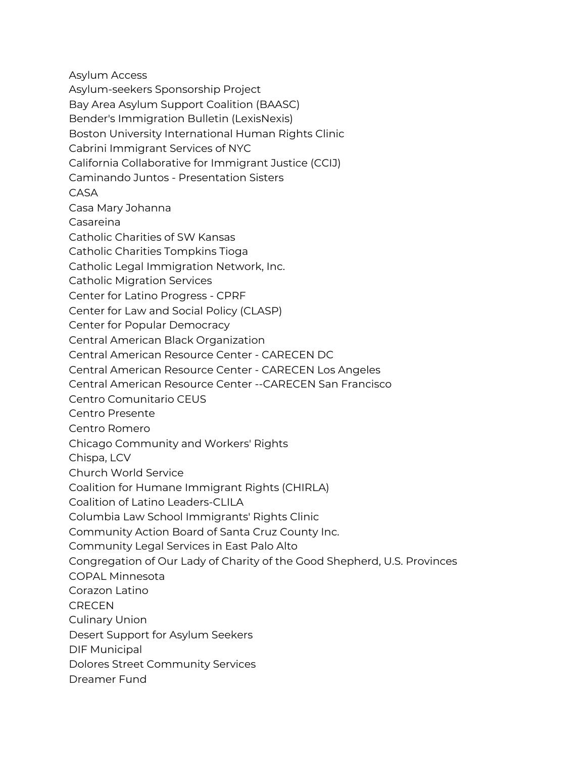Asylum Access

Asylum-seekers Sponsorship Project

Bay Area Asylum Support Coalition (BAASC)

Bender's Immigration Bulletin (LexisNexis)

Boston University International Human Rights Clinic

Cabrini Immigrant Services of NYC

California Collaborative for Immigrant Justice (CCIJ)

Caminando Juntos - Presentation Sisters

CASA

Casa Mary Johanna

Casareina

Catholic Charities of SW Kansas

Catholic Charities Tompkins Tioga

Catholic Legal Immigration Network, Inc.

Catholic Migration Services

Center for Latino Progress - CPRF

Center for Law and Social Policy (CLASP)

Center for Popular Democracy

Central American Black Organization

Central American Resource Center - CARECEN DC

Central American Resource Center - CARECEN Los Angeles

Central American Resource Center --CARECEN San Francisco

Centro Comunitario CEUS

Centro Presente

Centro Romero

Chicago Community and Workers' Rights

Chispa, LCV

Church World Service

Coalition for Humane Immigrant Rights (CHIRLA)

Coalition of Latino Leaders-CLILA

Columbia Law School Immigrants' Rights Clinic

Community Action Board of Santa Cruz County Inc.

Community Legal Services in East Palo Alto

Congregation of Our Lady of Charity of the Good Shepherd, U.S. Provinces

COPAL Minnesota

Corazon Latino

**CRECEN** 

Culinary Union

Desert Support for Asylum Seekers

DIF Municipal

Dolores Street Community Services

Dreamer Fund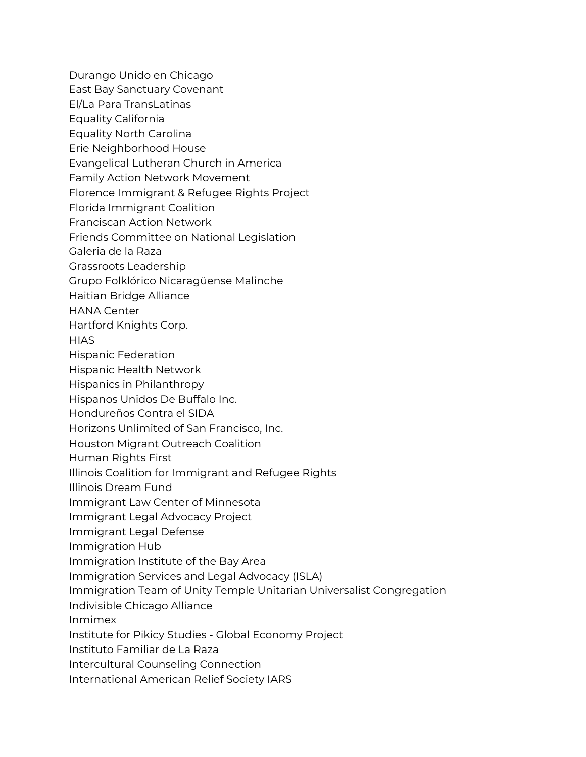Durango Unido en Chicago

- East Bay Sanctuary Covenant
- El/La Para TransLatinas
- Equality California
- Equality North Carolina
- Erie Neighborhood House
- Evangelical Lutheran Church in America
- Family Action Network Movement
- Florence Immigrant & Refugee Rights Project
- Florida Immigrant Coalition
- Franciscan Action Network
- Friends Committee on National Legislation
- Galeria de la Raza
- Grassroots Leadership
- Grupo Folklórico Nicaragüense Malinche
- Haitian Bridge Alliance
- HANA Center
- Hartford Knights Corp.
- **HIAS**
- Hispanic Federation
- Hispanic Health Network
- Hispanics in Philanthropy
- Hispanos Unidos De Buffalo Inc.
- Hondureños Contra el SIDA
- Horizons Unlimited of San Francisco, Inc.
- Houston Migrant Outreach Coalition
- Human Rights First
- Illinois Coalition for Immigrant and Refugee Rights
- Illinois Dream Fund
- Immigrant Law Center of Minnesota
- Immigrant Legal Advocacy Project
- Immigrant Legal Defense
- Immigration Hub
- Immigration Institute of the Bay Area
- Immigration Services and Legal Advocacy (ISLA)
- Immigration Team of Unity Temple Unitarian Universalist Congregation
- Indivisible Chicago Alliance
- Inmimex
- Institute for Pikicy Studies Global Economy Project
- Instituto Familiar de La Raza
- Intercultural Counseling Connection
- International American Relief Society IARS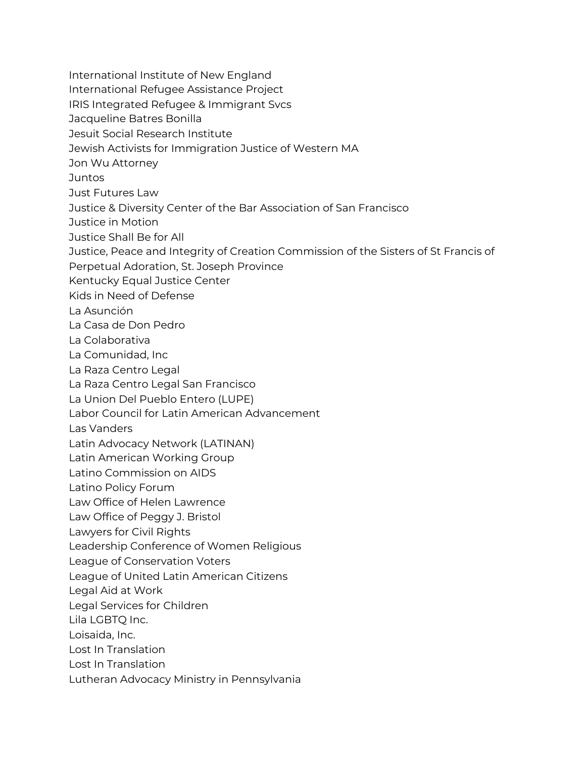- International Institute of New England
- International Refugee Assistance Project
- IRIS Integrated Refugee & Immigrant Svcs
- Jacqueline Batres Bonilla
- Jesuit Social Research Institute
- Jewish Activists for Immigration Justice of Western MA
- Jon Wu Attorney
- Juntos
- Just Futures Law
- Justice & Diversity Center of the Bar Association of San Francisco
- Justice in Motion
- Justice Shall Be for All
- Justice, Peace and Integrity of Creation Commission of the Sisters of St Francis of
- Perpetual Adoration, St. Joseph Province
- Kentucky Equal Justice Center
- Kids in Need of Defense
- La Asunción
- La Casa de Don Pedro
- La Colaborativa
- La Comunidad, Inc
- La Raza Centro Legal
- La Raza Centro Legal San Francisco
- La Union Del Pueblo Entero (LUPE)
- Labor Council for Latin American Advancement
- Las Vanders
- Latin Advocacy Network (LATINAN)
- Latin American Working Group
- Latino Commission on AIDS
- Latino Policy Forum
- Law Office of Helen Lawrence
- Law Office of Peggy J. Bristol
- Lawyers for Civil Rights
- Leadership Conference of Women Religious
- League of Conservation Voters
- League of United Latin American Citizens
- Legal Aid at Work
- Legal Services for Children
- Lila LGBTQ Inc.
- Loisaida, Inc.
- Lost In Translation
- Lost In Translation
- Lutheran Advocacy Ministry in Pennsylvania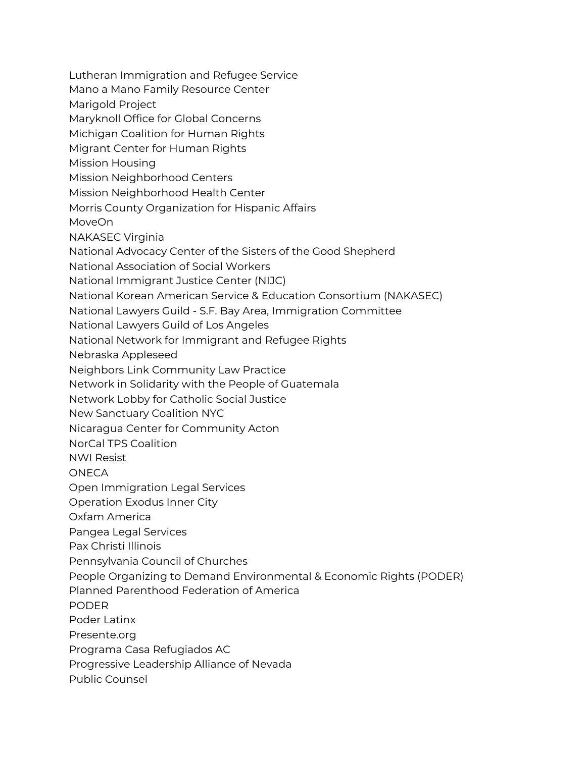Lutheran Immigration and Refugee Service Mano a Mano Family Resource Center Marigold Project Maryknoll Office for Global Concerns Michigan Coalition for Human Rights Migrant Center for Human Rights Mission Housing Mission Neighborhood Centers Mission Neighborhood Health Center Morris County Organization for Hispanic Affairs MoveOn NAKASEC Virginia National Advocacy Center of the Sisters of the Good Shepherd National Association of Social Workers National Immigrant Justice Center (NIJC) National Korean American Service & Education Consortium (NAKASEC) National Lawyers Guild - S.F. Bay Area, Immigration Committee National Lawyers Guild of Los Angeles National Network for Immigrant and Refugee Rights Nebraska Appleseed Neighbors Link Community Law Practice Network in Solidarity with the People of Guatemala Network Lobby for Catholic Social Justice New Sanctuary Coalition NYC Nicaragua Center for Community Acton NorCal TPS Coalition NWI Resist **ONECA** Open Immigration Legal Services Operation Exodus Inner City Oxfam America Pangea Legal Services Pax Christi Illinois Pennsylvania Council of Churches People Organizing to Demand Environmental & Economic Rights (PODER) Planned Parenthood Federation of America PODER Poder Latinx Presente.org Programa Casa Refugiados AC Progressive Leadership Alliance of Nevada Public Counsel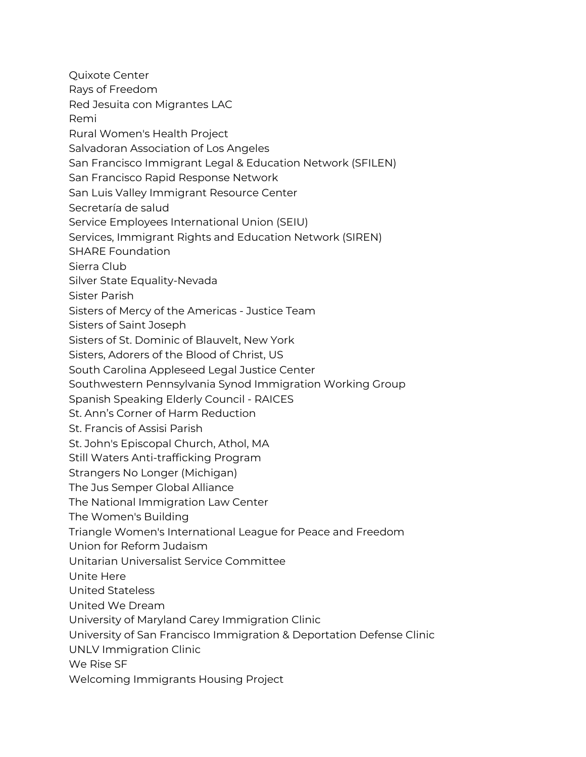Quixote Center Rays of Freedom Red Jesuita con Migrantes LAC Remi Rural Women's Health Project Salvadoran Association of Los Angeles San Francisco Immigrant Legal & Education Network (SFILEN) San Francisco Rapid Response Network San Luis Valley Immigrant Resource Center Secretaría de salud Service Employees International Union (SEIU) Services, Immigrant Rights and Education Network (SIREN) SHARE Foundation Sierra Club Silver State Equality-Nevada Sister Parish Sisters of Mercy of the Americas - Justice Team Sisters of Saint Joseph Sisters of St. Dominic of Blauvelt, New York Sisters, Adorers of the Blood of Christ, US South Carolina Appleseed Legal Justice Center Southwestern Pennsylvania Synod Immigration Working Group Spanish Speaking Elderly Council - RAICES St. Ann's Corner of Harm Reduction St. Francis of Assisi Parish St. John's Episcopal Church, Athol, MA Still Waters Anti-trafficking Program Strangers No Longer (Michigan) The Jus Semper Global Alliance The National Immigration Law Center The Women's Building Triangle Women's International League for Peace and Freedom Union for Reform Judaism Unitarian Universalist Service Committee Unite Here United Stateless United We Dream University of Maryland Carey Immigration Clinic University of San Francisco Immigration & Deportation Defense Clinic UNLV Immigration Clinic We Rise SF Welcoming Immigrants Housing Project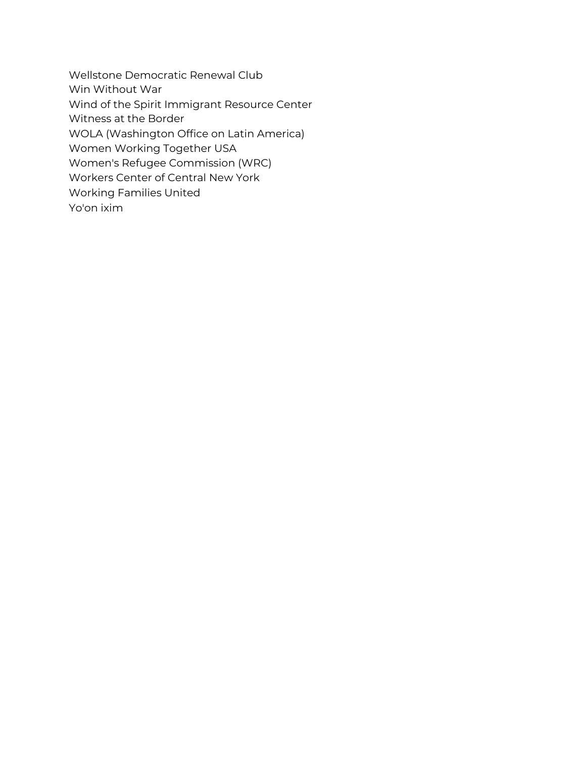Wellstone Democratic Renewal Club Win Without War Wind of the Spirit Immigrant Resource Center Witness at the Border WOLA (Washington Office on Latin America) Women Working Together USA Women's Refugee Commission (WRC) Workers Center of Central New York Working Families United Yo'on ixim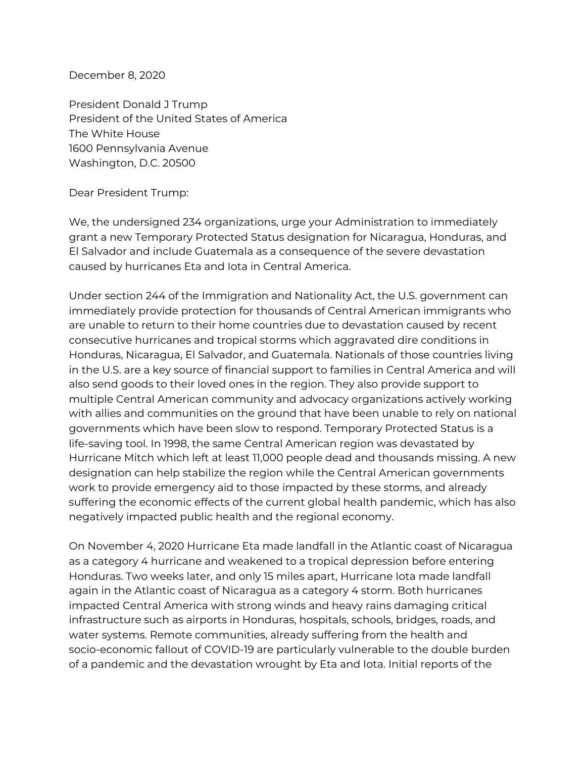December 8, 2020

President Donald J Trump President of the United States of America The White House 1600 Pennsylvania Avenue Washington, D.C. 20500

Dear President Trump:

We, the undersigned 234 organizations, urge your Administration to immediately grant a new Temporary Protected Status designation for Nicaragua, Honduras, and El Salvador and include Guatemala as a consequence of the severe devastation caused by hurricanes Eta and Iota in Central America.

Under section 244 of the Immigration and Nationality Act, the U.S. government can immediately provide protection for thousands of Central American immigrants who are unable to return to their home countries due to devastation caused by recent consecutive hurricanes and tropical storms which aggravated dire conditions in Honduras, Nicaragua, El Salvador, and Guatemala. Nationals of those countries living in the U.S. are a key source of financial support to families in Central America and will also send goods to their loved ones in the region. They also provide support to multiple Central American community and advocacy organizations actively working with allies and communities on the ground that have been unable to rely on national governments which have been slow to respond. Temporary Protected Status is a life-saving tool. In 1998, the same Central American region was devastated by Hurricane Mitch which left at least 11,000 people dead and thousands missing. A new designation can help stabilize the region while the Central American governments work to provide emergency aid to those impacted by these storms, and already suffering the economic effects of the current global health pandemic, which has also negatively impacted public health and the regional economy.

On November 4, 2020 Hurricane Eta made landfall in the Atlantic coast of Nicaragua as a category 4 hurricane and weakened to a tropical depression before entering Honduras. Two weeks later, and only 15 miles apart, Hurricane Iota made landfall again in the Atlantic coast of Nicaragua as a category 4 storm. Both hurricanes impacted Central America with strong winds and heavy rains damaging critical infrastructure such as airports in Honduras, hospitals, schools, bridges, roads, and water systems. Remote communities, already suffering from the health and socio-economic fallout of COVID-19 are particularly vulnerable to the double burden of a pandemic and the devastation wrought by Eta and Iota. Initial reports of the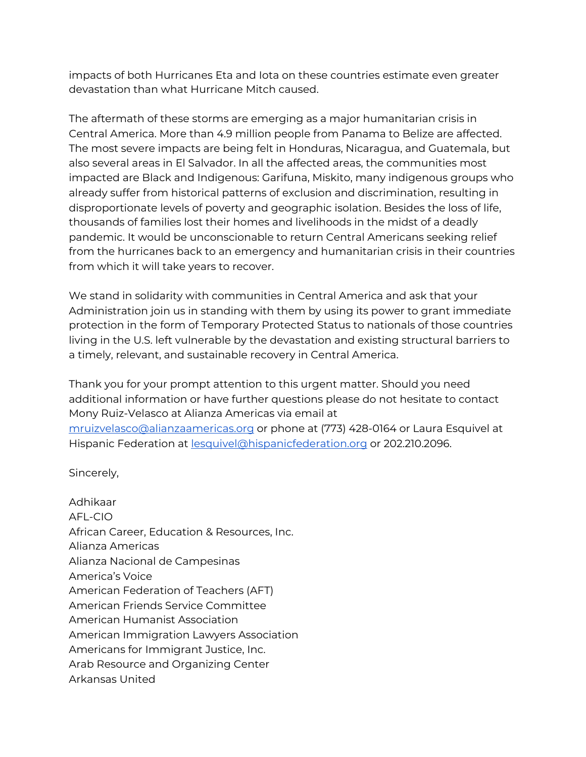impacts of both Hurricanes Eta and Iota on these countries estimate even greater devastation than what Hurricane Mitch caused.

The aftermath of these storms are emerging as a major humanitarian crisis in Central America. More than 4.9 million people from Panama to Belize are affected. The most severe impacts are being felt in Honduras, Nicaragua, and Guatemala, but also several areas in El Salvador. In all the affected areas, the communities most impacted are Black and Indigenous: Garifuna, Miskito, many indigenous groups who already suffer from historical patterns of exclusion and discrimination, resulting in disproportionate levels of poverty and geographic isolation. Besides the loss of life, thousands of families lost their homes and livelihoods in the midst of a deadly pandemic. It would be unconscionable to return Central Americans seeking relief from the hurricanes back to an emergency and humanitarian crisis in their countries from which it will take years to recover.

We stand in solidarity with communities in Central America and ask that your Administration join us in standing with them by using its power to grant immediate protection in the form of Temporary Protected Status to nationals of those countries living in the U.S. left vulnerable by the devastation and existing structural barriers to a timely, relevant, and sustainable recovery in Central America.

Thank you for your prompt attention to this urgent matter. Should you need additional information or have further questions please do not hesitate to contact Mony Ruiz-Velasco at Alianza Americas via email at [mruizvelasco@alianzaamericas.org](mailto:mruizvelasco@alianzaamericas.org) or phone at (773) 428-0164 or Laura Esquivel at Hispanic Federation at [lesquivel@hispanicfederation.org](mailto:lesquivel@hispanicfederation.org) or 202.210.2096.

Sincerely,

Adhikaar AFL-CIO African Career, Education & Resources, Inc. Alianza Americas Alianza Nacional de Campesinas America's Voice American Federation of Teachers (AFT) American Friends Service Committee American Humanist Association American Immigration Lawyers Association Americans for Immigrant Justice, Inc. Arab Resource and Organizing Center Arkansas United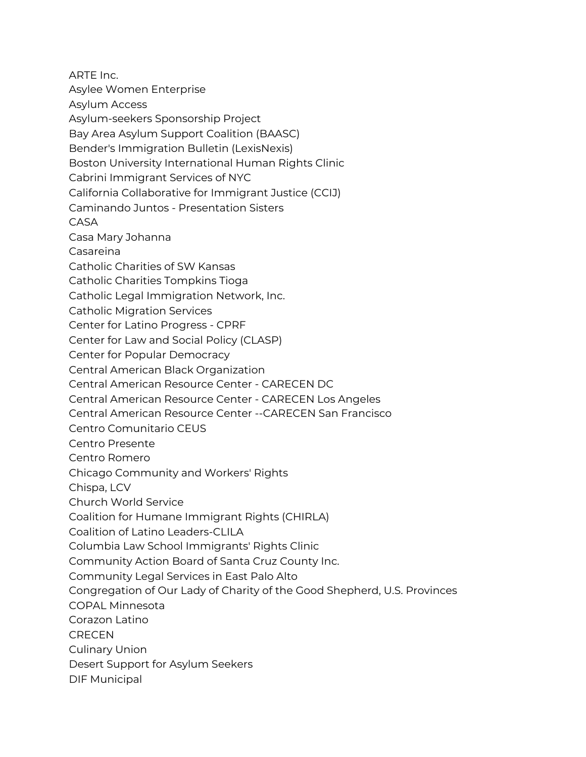ARTE Inc. Asylee Women Enterprise Asylum Access Asylum-seekers Sponsorship Project Bay Area Asylum Support Coalition (BAASC) Bender's Immigration Bulletin (LexisNexis) Boston University International Human Rights Clinic Cabrini Immigrant Services of NYC California Collaborative for Immigrant Justice (CCIJ) Caminando Juntos - Presentation Sisters CASA Casa Mary Johanna Casareina Catholic Charities of SW Kansas Catholic Charities Tompkins Tioga Catholic Legal Immigration Network, Inc. Catholic Migration Services Center for Latino Progress - CPRF Center for Law and Social Policy (CLASP) Center for Popular Democracy Central American Black Organization Central American Resource Center - CARECEN DC Central American Resource Center - CARECEN Los Angeles Central American Resource Center --CARECEN San Francisco Centro Comunitario CEUS Centro Presente Centro Romero Chicago Community and Workers' Rights Chispa, LCV Church World Service Coalition for Humane Immigrant Rights (CHIRLA) Coalition of Latino Leaders-CLILA Columbia Law School Immigrants' Rights Clinic Community Action Board of Santa Cruz County Inc. Community Legal Services in East Palo Alto Congregation of Our Lady of Charity of the Good Shepherd, U.S. Provinces COPAL Minnesota Corazon Latino **CRECEN** Culinary Union Desert Support for Asylum Seekers DIF Municipal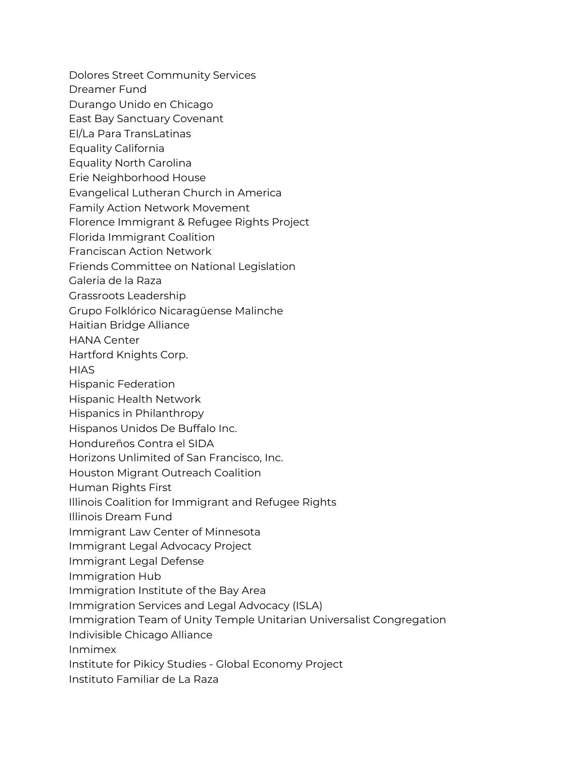- Dolores Street Community Services
- Dreamer Fund
- Durango Unido en Chicago
- East Bay Sanctuary Covenant
- El/La Para TransLatinas
- Equality California
- Equality North Carolina
- Erie Neighborhood House
- Evangelical Lutheran Church in America
- Family Action Network Movement
- Florence Immigrant & Refugee Rights Project
- Florida Immigrant Coalition
- Franciscan Action Network
- Friends Committee on National Legislation
- Galeria de la Raza
- Grassroots Leadership
- Grupo Folklórico Nicaragüense Malinche
- Haitian Bridge Alliance
- HANA Center
- Hartford Knights Corp.
- **HIAS**
- Hispanic Federation
- Hispanic Health Network
- Hispanics in Philanthropy
- Hispanos Unidos De Buffalo Inc.
- Hondureños Contra el SIDA
- Horizons Unlimited of San Francisco, Inc.
- Houston Migrant Outreach Coalition
- Human Rights First
- Illinois Coalition for Immigrant and Refugee Rights
- Illinois Dream Fund
- Immigrant Law Center of Minnesota
- Immigrant Legal Advocacy Project
- Immigrant Legal Defense
- Immigration Hub
- Immigration Institute of the Bay Area
- Immigration Services and Legal Advocacy (ISLA)
- Immigration Team of Unity Temple Unitarian Universalist Congregation
- Indivisible Chicago Alliance
- Inmimex
- Institute for Pikicy Studies Global Economy Project
- Instituto Familiar de La Raza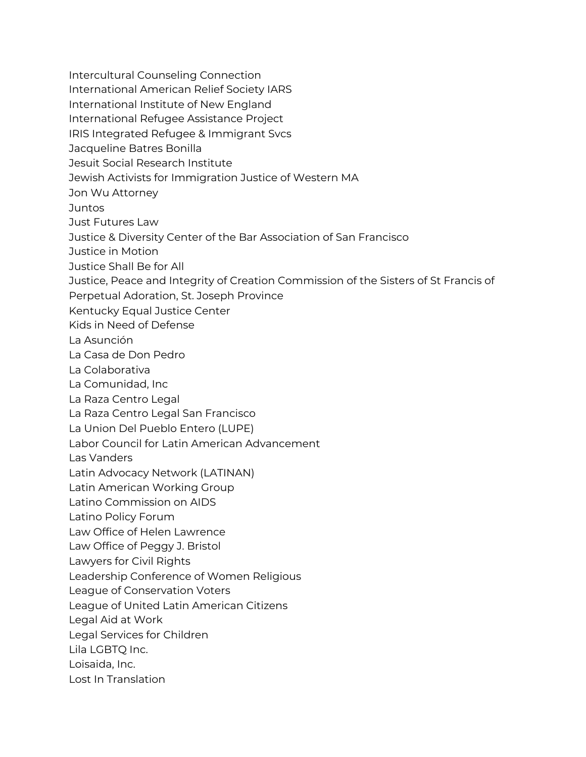Intercultural Counseling Connection

International American Relief Society IARS

International Institute of New England

International Refugee Assistance Project

IRIS Integrated Refugee & Immigrant Svcs

Jacqueline Batres Bonilla

Jesuit Social Research Institute

Jewish Activists for Immigration Justice of Western MA

Jon Wu Attorney

**Juntos** 

Just Futures Law

Justice & Diversity Center of the Bar Association of San Francisco

Justice in Motion

Justice Shall Be for All

Justice, Peace and Integrity of Creation Commission of the Sisters of St Francis of

Perpetual Adoration, St. Joseph Province

Kentucky Equal Justice Center

Kids in Need of Defense

La Asunción

La Casa de Don Pedro

La Colaborativa

La Comunidad, Inc

La Raza Centro Legal

La Raza Centro Legal San Francisco

La Union Del Pueblo Entero (LUPE)

Labor Council for Latin American Advancement

Las Vanders

Latin Advocacy Network (LATINAN)

Latin American Working Group

Latino Commission on AIDS

Latino Policy Forum

Law Office of Helen Lawrence

Law Office of Peggy J. Bristol

Lawyers for Civil Rights

Leadership Conference of Women Religious

League of Conservation Voters

League of United Latin American Citizens

Legal Aid at Work

Legal Services for Children

Lila LGBTQ Inc.

Loisaida, Inc.

Lost In Translation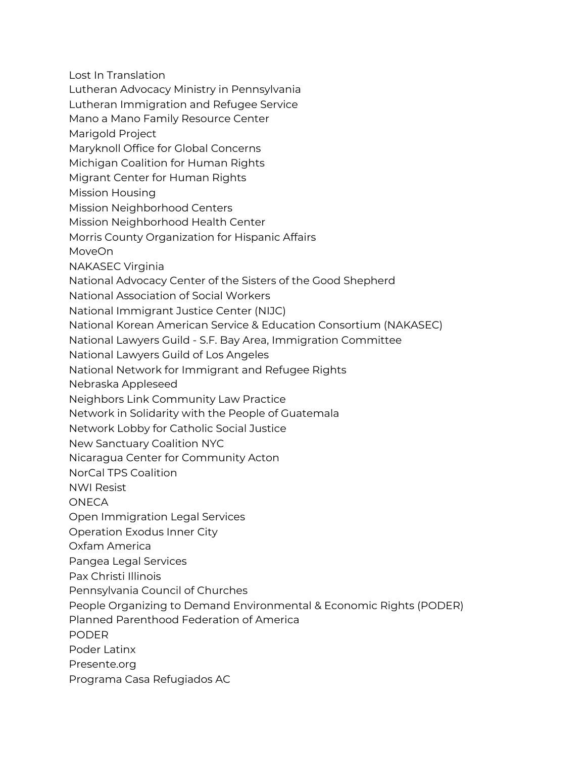Lost In Translation Lutheran Advocacy Ministry in Pennsylvania Lutheran Immigration and Refugee Service Mano a Mano Family Resource Center Marigold Project Maryknoll Office for Global Concerns Michigan Coalition for Human Rights Migrant Center for Human Rights Mission Housing Mission Neighborhood Centers Mission Neighborhood Health Center Morris County Organization for Hispanic Affairs MoveOn NAKASEC Virginia National Advocacy Center of the Sisters of the Good Shepherd National Association of Social Workers National Immigrant Justice Center (NIJC) National Korean American Service & Education Consortium (NAKASEC) National Lawyers Guild - S.F. Bay Area, Immigration Committee National Lawyers Guild of Los Angeles National Network for Immigrant and Refugee Rights Nebraska Appleseed Neighbors Link Community Law Practice Network in Solidarity with the People of Guatemala Network Lobby for Catholic Social Justice New Sanctuary Coalition NYC Nicaragua Center for Community Acton NorCal TPS Coalition NWI Resist **ONFCA** Open Immigration Legal Services Operation Exodus Inner City Oxfam America Pangea Legal Services Pax Christi Illinois Pennsylvania Council of Churches People Organizing to Demand Environmental & Economic Rights (PODER) Planned Parenthood Federation of America PODER Poder Latinx Presente.org

Programa Casa Refugiados AC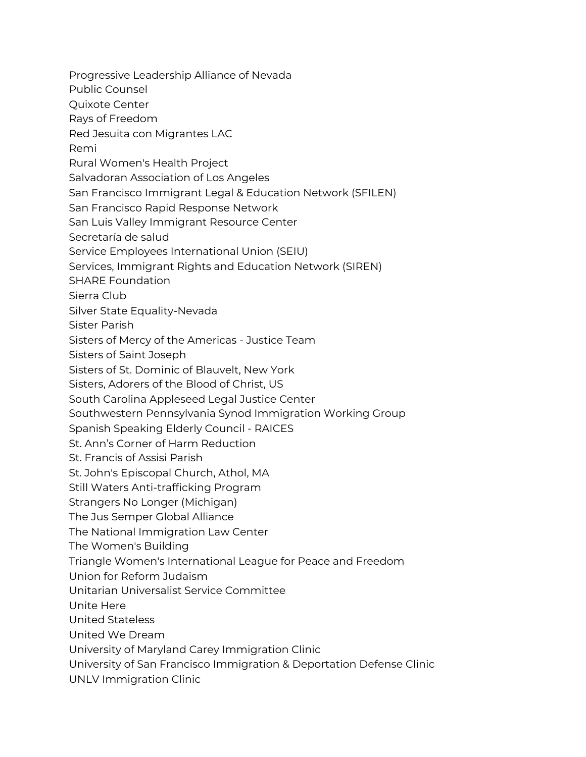Progressive Leadership Alliance of Nevada

Public Counsel

Quixote Center

Rays of Freedom

Red Jesuita con Migrantes LAC

Remi

Rural Women's Health Project

Salvadoran Association of Los Angeles

San Francisco Immigrant Legal & Education Network (SFILEN)

San Francisco Rapid Response Network

San Luis Valley Immigrant Resource Center

Secretaría de salud

Service Employees International Union (SEIU)

Services, Immigrant Rights and Education Network (SIREN)

SHARE Foundation

Sierra Club

Silver State Equality-Nevada

Sister Parish

Sisters of Mercy of the Americas - Justice Team

Sisters of Saint Joseph

Sisters of St. Dominic of Blauvelt, New York

Sisters, Adorers of the Blood of Christ, US

South Carolina Appleseed Legal Justice Center

Southwestern Pennsylvania Synod Immigration Working Group

Spanish Speaking Elderly Council - RAICES

St. Ann's Corner of Harm Reduction

St. Francis of Assisi Parish

St. John's Episcopal Church, Athol, MA

Still Waters Anti-trafficking Program

Strangers No Longer (Michigan)

The Jus Semper Global Alliance

The National Immigration Law Center

The Women's Building

Triangle Women's International League for Peace and Freedom

Union for Reform Judaism

Unitarian Universalist Service Committee

Unite Here

United Stateless

United We Dream

University of Maryland Carey Immigration Clinic

University of San Francisco Immigration & Deportation Defense Clinic

UNLV Immigration Clinic